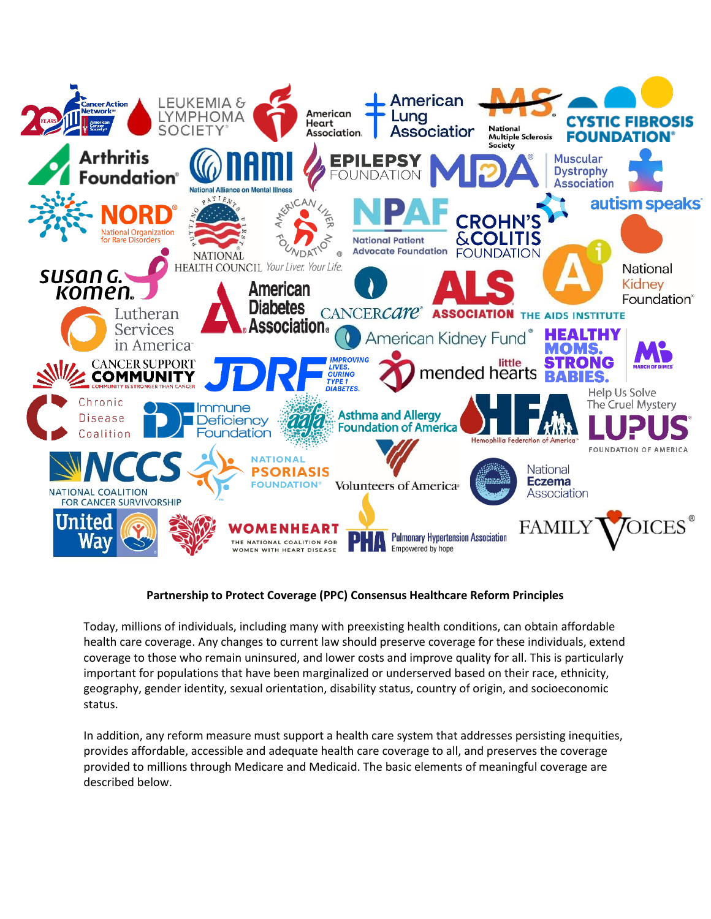

## **Partnership to Protect Coverage (PPC) Consensus Healthcare Reform Principles**

Today, millions of individuals, including many with preexisting health conditions, can obtain affordable health care coverage. Any changes to current law should preserve coverage for these individuals, extend coverage to those who remain uninsured, and lower costs and improve quality for all. This is particularly important for populations that have been marginalized or underserved based on their race, ethnicity, geography, gender identity, sexual orientation, disability status, country of origin, and socioeconomic status.

In addition, any reform measure must support a health care system that addresses persisting inequities, provides affordable, accessible and adequate health care coverage to all, and preserves the coverage provided to millions through Medicare and Medicaid. The basic elements of meaningful coverage are described below.